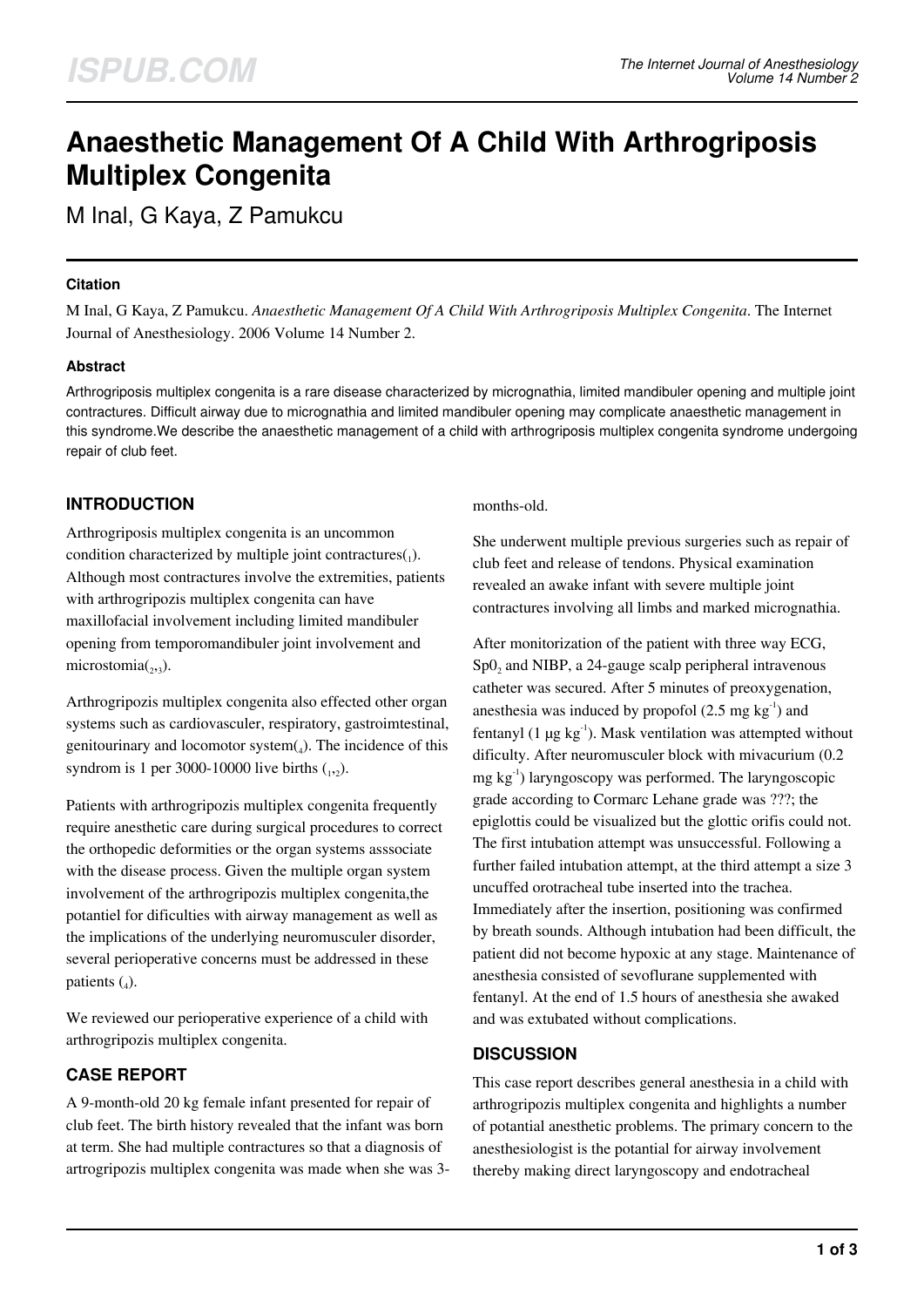# **Anaesthetic Management Of A Child With Arthrogriposis Multiplex Congenita**

M Inal, G Kaya, Z Pamukcu

## **Citation**

M Inal, G Kaya, Z Pamukcu. *Anaesthetic Management Of A Child With Arthrogriposis Multiplex Congenita*. The Internet Journal of Anesthesiology. 2006 Volume 14 Number 2.

## **Abstract**

Arthrogriposis multiplex congenita is a rare disease characterized by micrognathia, limited mandibuler opening and multiple joint contractures. Difficult airway due to micrognathia and limited mandibuler opening may complicate anaesthetic management in this syndrome.We describe the anaesthetic management of a child with arthrogriposis multiplex congenita syndrome undergoing repair of club feet.

# **INTRODUCTION**

Arthrogriposis multiplex congenita is an uncommon condition characterized by multiple joint contractures $_{(1)}$ . Although most contractures involve the extremities, patients with arthrogripozis multiplex congenita can have maxillofacial involvement including limited mandibuler opening from temporomandibuler joint involvement and  $microstomia({}_{2,3}).$ 

Arthrogripozis multiplex congenita also effected other organ systems such as cardiovasculer, respiratory, gastroimtestinal, genitourinary and locomotor system $(_{4})$ . The incidence of this syndrom is 1 per 3000-10000 live births  $_{12}$ ).

Patients with arthrogripozis multiplex congenita frequently require anesthetic care during surgical procedures to correct the orthopedic deformities or the organ systems asssociate with the disease process. Given the multiple organ system involvement of the arthrogripozis multiplex congenita,the potantiel for dificulties with airway management as well as the implications of the underlying neuromusculer disorder, several perioperative concerns must be addressed in these patients  $(_4)$ .

We reviewed our perioperative experience of a child with arthrogripozis multiplex congenita.

# **CASE REPORT**

A 9-month-old 20 kg female infant presented for repair of club feet. The birth history revealed that the infant was born at term. She had multiple contractures so that a diagnosis of artrogripozis multiplex congenita was made when she was 3months-old.

She underwent multiple previous surgeries such as repair of club feet and release of tendons. Physical examination revealed an awake infant with severe multiple joint contractures involving all limbs and marked micrognathia.

After monitorization of the patient with three way ECG, Sp0<sub>2</sub> and NIBP, a 24-gauge scalp peripheral intravenous catheter was secured. After 5 minutes of preoxygenation, anesthesia was induced by propofol  $(2.5 \text{ mg kg}^{-1})$  and fentanyl (1  $\mu$ g kg<sup>-1</sup>). Mask ventilation was attempted without dificulty. After neuromusculer block with mivacurium (0.2  $mg \, kg^{-1}$ ) laryngoscopy was performed. The laryngoscopic grade according to Cormarc Lehane grade was ???; the epiglottis could be visualized but the glottic orifis could not. The first intubation attempt was unsuccessful. Following a further failed intubation attempt, at the third attempt a size 3 uncuffed orotracheal tube inserted into the trachea. Immediately after the insertion, positioning was confirmed by breath sounds. Although intubation had been difficult, the patient did not become hypoxic at any stage. Maintenance of anesthesia consisted of sevoflurane supplemented with fentanyl. At the end of 1.5 hours of anesthesia she awaked and was extubated without complications.

# **DISCUSSION**

This case report describes general anesthesia in a child with arthrogripozis multiplex congenita and highlights a number of potantial anesthetic problems. The primary concern to the anesthesiologist is the potantial for airway involvement thereby making direct laryngoscopy and endotracheal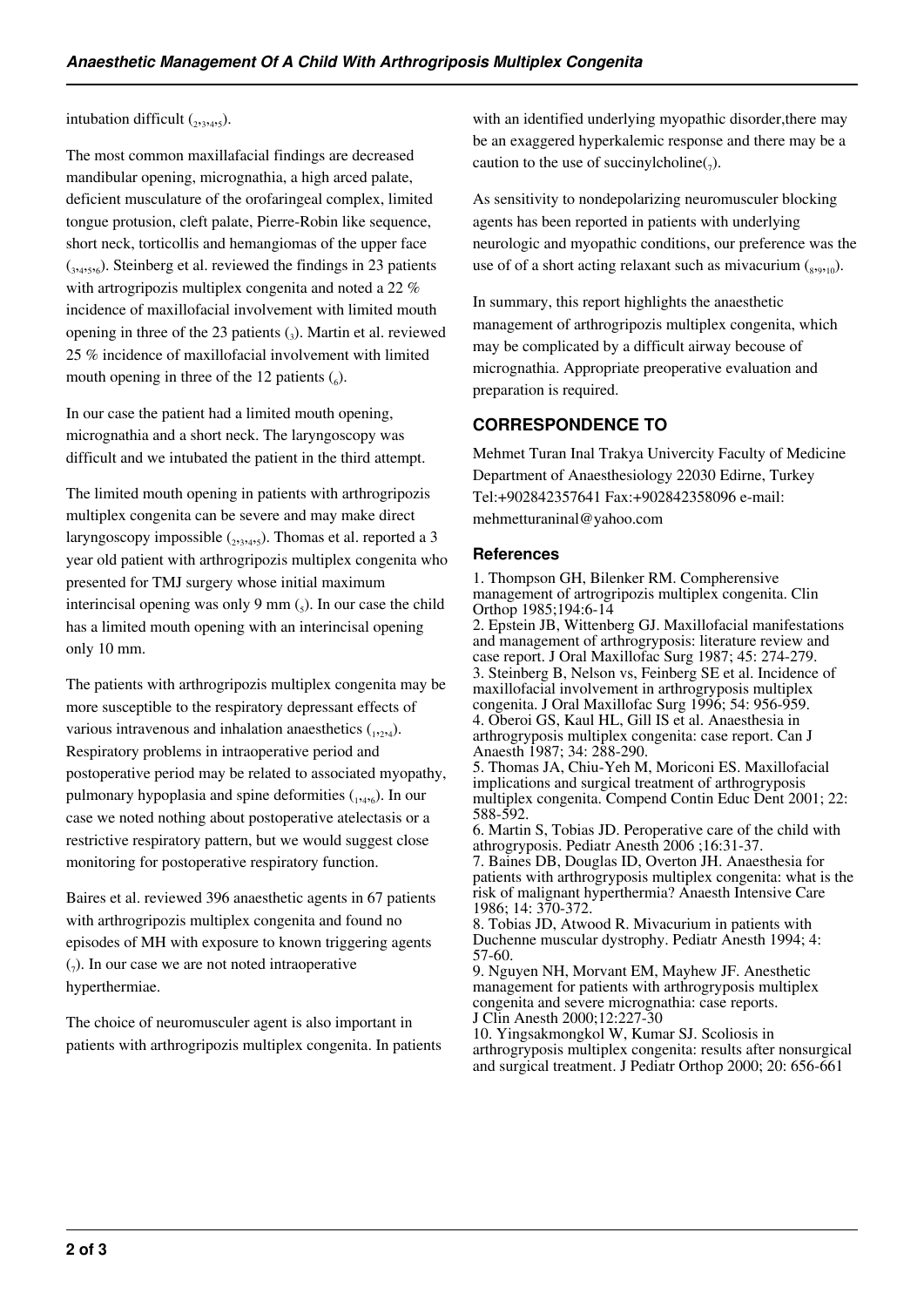#### intubation difficult  $_{(2,3,4,5)}$ .

The most common maxillafacial findings are decreased mandibular opening, micrognathia, a high arced palate, deficient musculature of the orofaringeal complex, limited tongue protusion, cleft palate, Pierre-Robin like sequence, short neck, torticollis and hemangiomas of the upper face (3,4,5,6). Steinberg et al. reviewed the findings in 23 patients with artrogripozis multiplex congenita and noted a 22 % incidence of maxillofacial involvement with limited mouth opening in three of the 23 patients (<sup>3</sup> ). Martin et al. reviewed 25 % incidence of maxillofacial involvement with limited mouth opening in three of the 12 patients  $\binom{6}{6}$ .

In our case the patient had a limited mouth opening, micrognathia and a short neck. The laryngoscopy was difficult and we intubated the patient in the third attempt.

The limited mouth opening in patients with arthrogripozis multiplex congenita can be severe and may make direct laryngoscopy impossible (2,3,4,5). Thomas et al. reported a 3 year old patient with arthrogripozis multiplex congenita who presented for TMJ surgery whose initial maximum interincisal opening was only  $9 \text{ mm } (5)$ . In our case the child has a limited mouth opening with an interincisal opening only 10 mm.

The patients with arthrogripozis multiplex congenita may be more susceptible to the respiratory depressant effects of various intravenous and inhalation anaesthetics  $(1, 2, 4)$ . Respiratory problems in intraoperative period and postoperative period may be related to associated myopathy, pulmonary hypoplasia and spine deformities (1,4,6). In our case we noted nothing about postoperative atelectasis or a restrictive respiratory pattern, but we would suggest close monitoring for postoperative respiratory function.

Baires et al. reviewed 396 anaesthetic agents in 67 patients with arthrogripozis multiplex congenita and found no episodes of MH with exposure to known triggering agents  $_{7}$ ). In our case we are not noted intraoperative hyperthermiae.

The choice of neuromusculer agent is also important in patients with arthrogripozis multiplex congenita. In patients with an identified underlying myopathic disorder, there may be an exaggered hyperkalemic response and there may be a caution to the use of succinylcholine $(7)$ .

As sensitivity to nondepolarizing neuromusculer blocking agents has been reported in patients with underlying neurologic and myopathic conditions, our preference was the use of of a short acting relaxant such as mivacurium  $\binom{8,9,10}{6}$ .

In summary, this report highlights the anaesthetic management of arthrogripozis multiplex congenita, which may be complicated by a difficult airway becouse of micrognathia. Appropriate preoperative evaluation and preparation is required.

## **CORRESPONDENCE TO**

Mehmet Turan Inal Trakya Univercity Faculty of Medicine Department of Anaesthesiology 22030 Edirne, Turkey Tel:+902842357641 Fax:+902842358096 e-mail: mehmetturaninal@yahoo.com

### **References**

1. Thompson GH, Bilenker RM. Compherensive management of artrogripozis multiplex congenita. Clin Orthop 1985;194:6-14

2. Epstein JB, Wittenberg GJ. Maxillofacial manifestations and management of arthrogryposis: literature review and case report. J Oral Maxillofac Surg 1987; 45: 274-279. 3. Steinberg B, Nelson vs, Feinberg SE et al. Incidence of maxillofacial involvement in arthrogryposis multiplex congenita. J Oral Maxillofac Surg 1996; 54: 956-959. 4. Oberoi GS, Kaul HL, Gill IS et al. Anaesthesia in arthrogryposis multiplex congenita: case report. Can J Anaesth 1987; 34: 288-290.

5. Thomas JA, Chiu-Yeh M, Moriconi ES. Maxillofacial implications and surgical treatment of arthrogryposis multiplex congenita. Compend Contin Educ Dent 2001; 22: 588-592.

6. Martin S, Tobias JD. Peroperative care of the child with athrogryposis. Pediatr Anesth 2006 ;16:31-37.

7. Baines DB, Douglas ID, Overton JH. Anaesthesia for patients with arthrogryposis multiplex congenita: what is the risk of malignant hyperthermia? Anaesth Intensive Care 1986; 14: 370-372.

8. Tobias JD, Atwood R. Mivacurium in patients with Duchenne muscular dystrophy. Pediatr Anesth 1994; 4: 57-60.

9. Nguyen NH, Morvant EM, Mayhew JF. Anesthetic management for patients with arthrogryposis multiplex congenita and severe micrognathia: case reports. J Clin Anesth 2000;12:227-30

10. Yingsakmongkol W, Kumar SJ. Scoliosis in arthrogryposis multiplex congenita: results after nonsurgical and surgical treatment. J Pediatr Orthop 2000; 20: 656-661